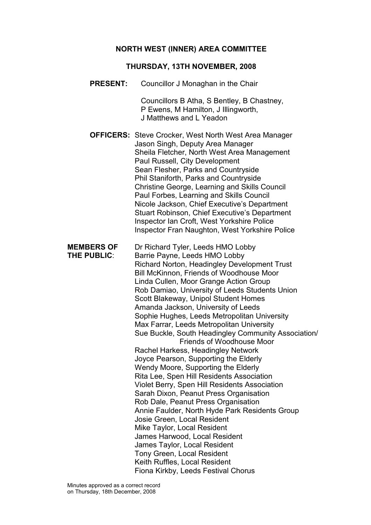### NORTH WEST (INNER) AREA COMMITTEE

#### THURSDAY, 13TH NOVEMBER, 2008

PRESENT: Councillor J Monaghan in the Chair

 Councillors B Atha, S Bentley, B Chastney, P Ewens, M Hamilton, J Illingworth, J Matthews and L Yeadon

OFFICERS: Steve Crocker, West North West Area Manager Jason Singh, Deputy Area Manager Sheila Fletcher, North West Area Management Paul Russell, City Development Sean Flesher, Parks and Countryside Phil Staniforth, Parks and Countryside Christine George, Learning and Skills Council Paul Forbes, Learning and Skills Council Nicole Jackson, Chief Executive's Department Stuart Robinson, Chief Executive's Department Inspector Ian Croft, West Yorkshire Police Inspector Fran Naughton, West Yorkshire Police

MEMBERS OF Dr Richard Tyler, Leeds HMO Lobby THE PUBLIC: Barrie Payne, Leeds HMO Lobby Richard Norton, Headingley Development Trust Bill McKinnon, Friends of Woodhouse Moor Linda Cullen, Moor Grange Action Group Rob Damiao, University of Leeds Students Union Scott Blakeway, Unipol Student Homes Amanda Jackson, University of Leeds Sophie Hughes, Leeds Metropolitan University Max Farrar, Leeds Metropolitan University Sue Buckle, South Headingley Community Association/ Friends of Woodhouse Moor Rachel Harkess, Headingley Network Joyce Pearson, Supporting the Elderly Wendy Moore, Supporting the Elderly Rita Lee, Spen Hill Residents Association Violet Berry, Spen Hill Residents Association Sarah Dixon, Peanut Press Organisation Rob Dale, Peanut Press Organisation Annie Faulder, North Hyde Park Residents Group Josie Green, Local Resident Mike Taylor, Local Resident James Harwood, Local Resident James Taylor, Local Resident Tony Green, Local Resident Keith Ruffles, Local Resident Fiona Kirkby, Leeds Festival Chorus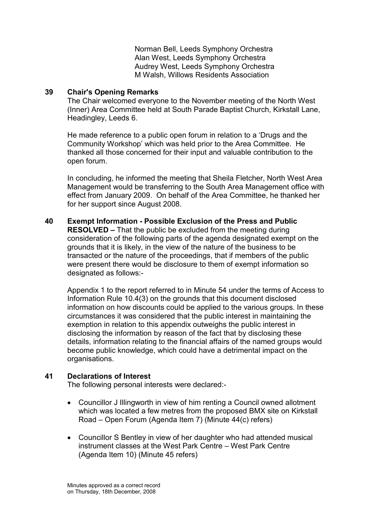Norman Bell, Leeds Symphony Orchestra Alan West, Leeds Symphony Orchestra Audrey West, Leeds Symphony Orchestra M Walsh, Willows Residents Association

### 39 Chair's Opening Remarks

The Chair welcomed everyone to the November meeting of the North West (Inner) Area Committee held at South Parade Baptist Church, Kirkstall Lane, Headingley, Leeds 6.

He made reference to a public open forum in relation to a 'Drugs and the Community Workshop' which was held prior to the Area Committee. He thanked all those concerned for their input and valuable contribution to the open forum.

In concluding, he informed the meeting that Sheila Fletcher, North West Area Management would be transferring to the South Area Management office with effect from January 2009. On behalf of the Area Committee, he thanked her for her support since August 2008.

40 Exempt Information - Possible Exclusion of the Press and Public RESOLVED – That the public be excluded from the meeting during consideration of the following parts of the agenda designated exempt on the grounds that it is likely, in the view of the nature of the business to be transacted or the nature of the proceedings, that if members of the public were present there would be disclosure to them of exempt information so designated as follows:-

Appendix 1 to the report referred to in Minute 54 under the terms of Access to Information Rule 10.4(3) on the grounds that this document disclosed information on how discounts could be applied to the various groups. In these circumstances it was considered that the public interest in maintaining the exemption in relation to this appendix outweighs the public interest in disclosing the information by reason of the fact that by disclosing these details, information relating to the financial affairs of the named groups would become public knowledge, which could have a detrimental impact on the organisations.

## 41 Declarations of Interest

The following personal interests were declared:-

- Councillor J Illingworth in view of him renting a Council owned allotment which was located a few metres from the proposed BMX site on Kirkstall Road – Open Forum (Agenda Item 7) (Minute 44(c) refers)
- Councillor S Bentley in view of her daughter who had attended musical instrument classes at the West Park Centre – West Park Centre (Agenda Item 10) (Minute 45 refers)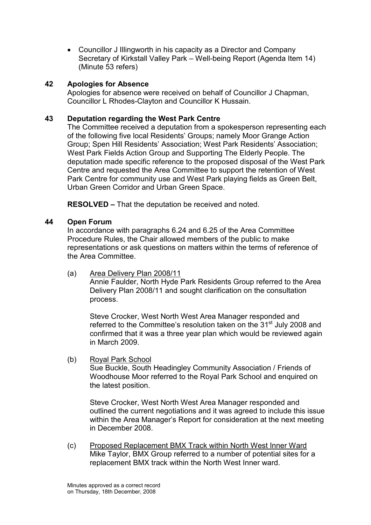• Councillor J Illingworth in his capacity as a Director and Company Secretary of Kirkstall Valley Park – Well-being Report (Agenda Item 14) (Minute 53 refers)

### 42 Apologies for Absence

Apologies for absence were received on behalf of Councillor J Chapman, Councillor L Rhodes-Clayton and Councillor K Hussain.

### 43 Deputation regarding the West Park Centre

The Committee received a deputation from a spokesperson representing each of the following five local Residents' Groups; namely Moor Grange Action Group; Spen Hill Residents' Association; West Park Residents' Association; West Park Fields Action Group and Supporting The Elderly People. The deputation made specific reference to the proposed disposal of the West Park Centre and requested the Area Committee to support the retention of West Park Centre for community use and West Park playing fields as Green Belt, Urban Green Corridor and Urban Green Space.

RESOLVED – That the deputation be received and noted.

### 44 Open Forum

In accordance with paragraphs 6.24 and 6.25 of the Area Committee Procedure Rules, the Chair allowed members of the public to make representations or ask questions on matters within the terms of reference of the Area Committee.

(a) Area Delivery Plan 2008/11

 Annie Faulder, North Hyde Park Residents Group referred to the Area Delivery Plan 2008/11 and sought clarification on the consultation process.

 Steve Crocker, West North West Area Manager responded and referred to the Committee's resolution taken on the 31<sup>st</sup> July 2008 and confirmed that it was a three year plan which would be reviewed again in March 2009.

(b) Royal Park School

 Sue Buckle, South Headingley Community Association / Friends of Woodhouse Moor referred to the Royal Park School and enquired on the latest position.

 Steve Crocker, West North West Area Manager responded and outlined the current negotiations and it was agreed to include this issue within the Area Manager's Report for consideration at the next meeting in December 2008.

(c) Proposed Replacement BMX Track within North West Inner Ward Mike Taylor, BMX Group referred to a number of potential sites for a replacement BMX track within the North West Inner ward.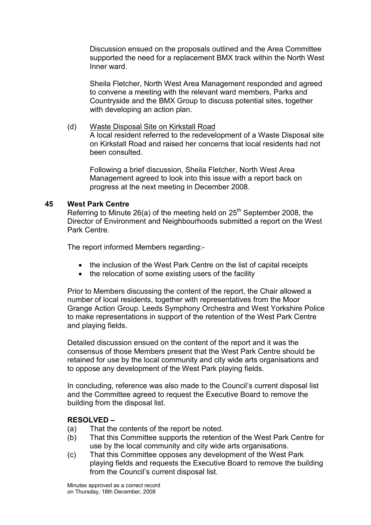Discussion ensued on the proposals outlined and the Area Committee supported the need for a replacement BMX track within the North West Inner ward.

 Sheila Fletcher, North West Area Management responded and agreed to convene a meeting with the relevant ward members, Parks and Countryside and the BMX Group to discuss potential sites, together with developing an action plan.

(d) Waste Disposal Site on Kirkstall Road A local resident referred to the redevelopment of a Waste Disposal site on Kirkstall Road and raised her concerns that local residents had not been consulted.

 Following a brief discussion, Sheila Fletcher, North West Area Management agreed to look into this issue with a report back on progress at the next meeting in December 2008.

### 45 West Park Centre

Referring to Minute 26(a) of the meeting held on  $25<sup>th</sup>$  September 2008, the Director of Environment and Neighbourhoods submitted a report on the West Park Centre.

The report informed Members regarding:-

- the inclusion of the West Park Centre on the list of capital receipts
- the relocation of some existing users of the facility

Prior to Members discussing the content of the report, the Chair allowed a number of local residents, together with representatives from the Moor Grange Action Group. Leeds Symphony Orchestra and West Yorkshire Police to make representations in support of the retention of the West Park Centre and playing fields.

Detailed discussion ensued on the content of the report and it was the consensus of those Members present that the West Park Centre should be retained for use by the local community and city wide arts organisations and to oppose any development of the West Park playing fields.

In concluding, reference was also made to the Council's current disposal list and the Committee agreed to request the Executive Board to remove the building from the disposal list.

### RESOLVED –

- (a) That the contents of the report be noted.
- (b) That this Committee supports the retention of the West Park Centre for use by the local community and city wide arts organisations.
- (c) That this Committee opposes any development of the West Park playing fields and requests the Executive Board to remove the building from the Council's current disposal list.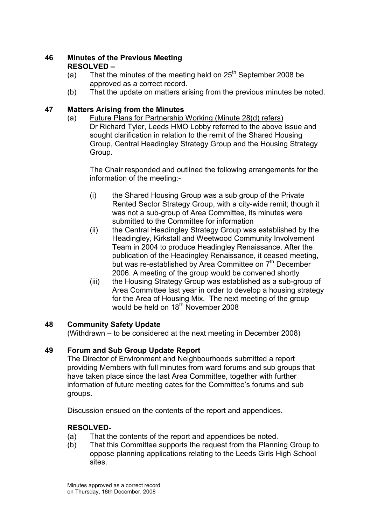## 46 Minutes of the Previous Meeting RESOLVED –

- (a) That the minutes of the meeting held on  $25<sup>th</sup>$  September 2008 be approved as a correct record.
- (b) That the update on matters arising from the previous minutes be noted.

# 47 Matters Arising from the Minutes

(a) Future Plans for Partnership Working (Minute 28(d) refers) Dr Richard Tyler, Leeds HMO Lobby referred to the above issue and sought clarification in relation to the remit of the Shared Housing Group, Central Headingley Strategy Group and the Housing Strategy Group.

 The Chair responded and outlined the following arrangements for the information of the meeting:-

- (i) the Shared Housing Group was a sub group of the Private Rented Sector Strategy Group, with a city-wide remit; though it was not a sub-group of Area Committee, its minutes were submitted to the Committee for information
- (ii) the Central Headingley Strategy Group was established by the Headingley, Kirkstall and Weetwood Community Involvement Team in 2004 to produce Headingley Renaissance. After the publication of the Headingley Renaissance, it ceased meeting, but was re-established by Area Committee on 7<sup>th</sup> December 2006. A meeting of the group would be convened shortly
- (iii) the Housing Strategy Group was established as a sub-group of Area Committee last year in order to develop a housing strategy for the Area of Housing Mix. The next meeting of the group would be held on 18<sup>th</sup> November 2008

# 48 Community Safety Update

(Withdrawn – to be considered at the next meeting in December 2008)

# 49 Forum and Sub Group Update Report

The Director of Environment and Neighbourhoods submitted a report providing Members with full minutes from ward forums and sub groups that have taken place since the last Area Committee, together with further information of future meeting dates for the Committee's forums and sub groups.

Discussion ensued on the contents of the report and appendices.

# RESOLVED-

- (a) That the contents of the report and appendices be noted.
- (b) That this Committee supports the request from the Planning Group to oppose planning applications relating to the Leeds Girls High School sites.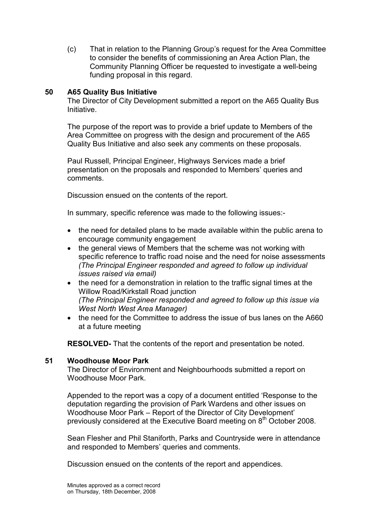(c) That in relation to the Planning Group's request for the Area Committee to consider the benefits of commissioning an Area Action Plan, the Community Planning Officer be requested to investigate a well-being funding proposal in this regard.

### 50 A65 Quality Bus Initiative

The Director of City Development submitted a report on the A65 Quality Bus Initiative.

The purpose of the report was to provide a brief update to Members of the Area Committee on progress with the design and procurement of the A65 Quality Bus Initiative and also seek any comments on these proposals.

Paul Russell, Principal Engineer, Highways Services made a brief presentation on the proposals and responded to Members' queries and comments.

Discussion ensued on the contents of the report.

In summary, specific reference was made to the following issues:-

- the need for detailed plans to be made available within the public arena to encourage community engagement
- the general views of Members that the scheme was not working with specific reference to traffic road noise and the need for noise assessments (The Principal Engineer responded and agreed to follow up individual issues raised via email)
- the need for a demonstration in relation to the traffic signal times at the Willow Road/Kirkstall Road junction (The Principal Engineer responded and agreed to follow up this issue via West North West Area Manager)
- the need for the Committee to address the issue of bus lanes on the A660 at a future meeting

RESOLVED- That the contents of the report and presentation be noted.

#### 51 Woodhouse Moor Park

The Director of Environment and Neighbourhoods submitted a report on Woodhouse Moor Park.

Appended to the report was a copy of a document entitled 'Response to the deputation regarding the provision of Park Wardens and other issues on Woodhouse Moor Park – Report of the Director of City Development' previously considered at the Executive Board meeting on 8<sup>th</sup> October 2008.

Sean Flesher and Phil Staniforth, Parks and Countryside were in attendance and responded to Members' queries and comments.

Discussion ensued on the contents of the report and appendices.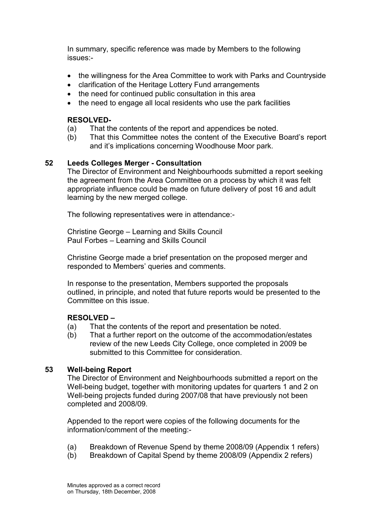In summary, specific reference was made by Members to the following issues:-

- the willingness for the Area Committee to work with Parks and Countryside
- clarification of the Heritage Lottery Fund arrangements
- the need for continued public consultation in this area
- the need to engage all local residents who use the park facilities

### RESOLVED-

- (a) That the contents of the report and appendices be noted.
- (b) That this Committee notes the content of the Executive Board's report and it's implications concerning Woodhouse Moor park.

### 52 Leeds Colleges Merger - Consultation

The Director of Environment and Neighbourhoods submitted a report seeking the agreement from the Area Committee on a process by which it was felt appropriate influence could be made on future delivery of post 16 and adult learning by the new merged college.

The following representatives were in attendance:-

Christine George – Learning and Skills Council Paul Forbes – Learning and Skills Council

Christine George made a brief presentation on the proposed merger and responded to Members' queries and comments.

In response to the presentation, Members supported the proposals outlined, in principle, and noted that future reports would be presented to the Committee on this issue.

### RESOLVED –

- (a) That the contents of the report and presentation be noted.
- (b) That a further report on the outcome of the accommodation/estates review of the new Leeds City College, once completed in 2009 be submitted to this Committee for consideration.

### 53 Well-being Report

The Director of Environment and Neighbourhoods submitted a report on the Well-being budget, together with monitoring updates for quarters 1 and 2 on Well-being projects funded during 2007/08 that have previously not been completed and 2008/09.

Appended to the report were copies of the following documents for the information/comment of the meeting:-

- (a) Breakdown of Revenue Spend by theme 2008/09 (Appendix 1 refers)
- (b) Breakdown of Capital Spend by theme 2008/09 (Appendix 2 refers)